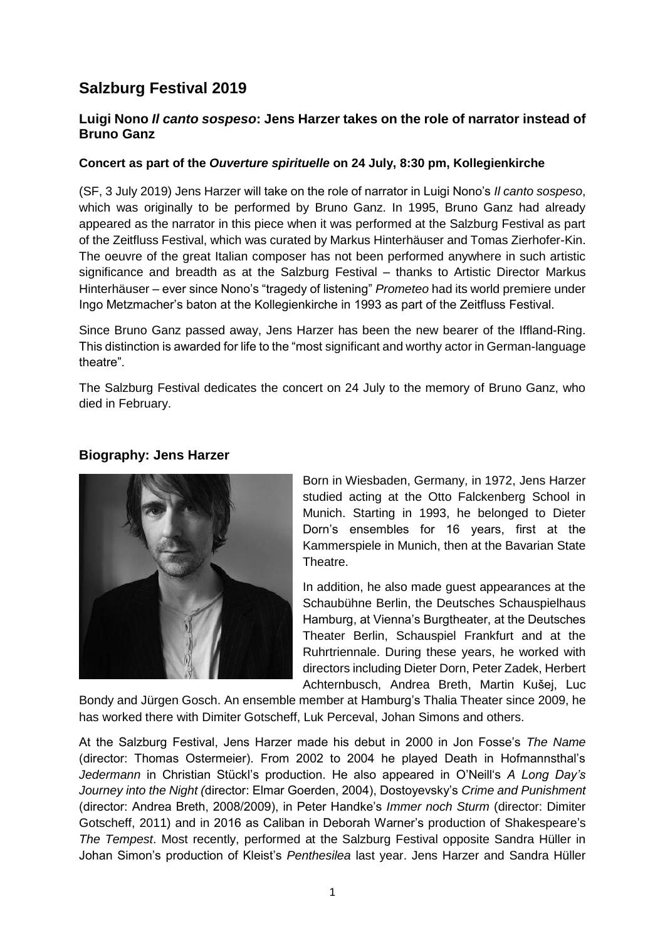# **Salzburg Festival 2019**

## **Luigi Nono** *Il canto sospeso***: Jens Harzer takes on the role of narrator instead of Bruno Ganz**

### **Concert as part of the** *Ouverture spirituelle* **on 24 July, 8:30 pm, Kollegienkirche**

(SF, 3 July 2019) Jens Harzer will take on the role of narrator in Luigi Nono's *Il canto sospeso*, which was originally to be performed by Bruno Ganz. In 1995, Bruno Ganz had already appeared as the narrator in this piece when it was performed at the Salzburg Festival as part of the Zeitfluss Festival, which was curated by Markus Hinterhäuser and Tomas Zierhofer-Kin. The oeuvre of the great Italian composer has not been performed anywhere in such artistic significance and breadth as at the Salzburg Festival – thanks to Artistic Director Markus Hinterhäuser – ever since Nono's "tragedy of listening" *Prometeo* had its world premiere under Ingo Metzmacher's baton at the Kollegienkirche in 1993 as part of the Zeitfluss Festival.

Since Bruno Ganz passed away, Jens Harzer has been the new bearer of the Iffland-Ring. This distinction is awarded for life to the "most significant and worthy actor in German-language theatre".

The Salzburg Festival dedicates the concert on 24 July to the memory of Bruno Ganz, who died in February.





Born in Wiesbaden, Germany, in 1972, Jens Harzer studied acting at the Otto Falckenberg School in Munich. Starting in 1993, he belonged to Dieter Dorn's ensembles for 16 years, first at the Kammerspiele in Munich, then at the Bavarian State Theatre.

In addition, he also made guest appearances at the Schaubühne Berlin, the Deutsches Schauspielhaus Hamburg, at Vienna's Burgtheater, at the Deutsches Theater Berlin, Schauspiel Frankfurt and at the Ruhrtriennale. During these years, he worked with directors including Dieter Dorn, Peter Zadek, Herbert Achternbusch, Andrea Breth, Martin Kušej, Luc

Bondy and Jürgen Gosch. An ensemble member at Hamburg's Thalia Theater since 2009, he has worked there with Dimiter Gotscheff, Luk Perceval, Johan Simons and others.

At the Salzburg Festival, Jens Harzer made his debut in 2000 in Jon Fosse's *The Name* (director: Thomas Ostermeier). From 2002 to 2004 he played Death in Hofmannsthal's *Jedermann* in Christian Stückl's production. He also appeared in O'Neill's *A Long Day's Journey into the Night (*director: Elmar Goerden, 2004), Dostoyevsky's *Crime and Punishment* (director: Andrea Breth, 2008/2009), in Peter Handke's *Immer noch Sturm* (director: Dimiter Gotscheff, 2011) and in 2016 as Caliban in Deborah Warner's production of Shakespeare's *The Tempest*. Most recently, performed at the Salzburg Festival opposite Sandra Hüller in Johan Simon's production of Kleist's *Penthesilea* last year. Jens Harzer and Sandra Hüller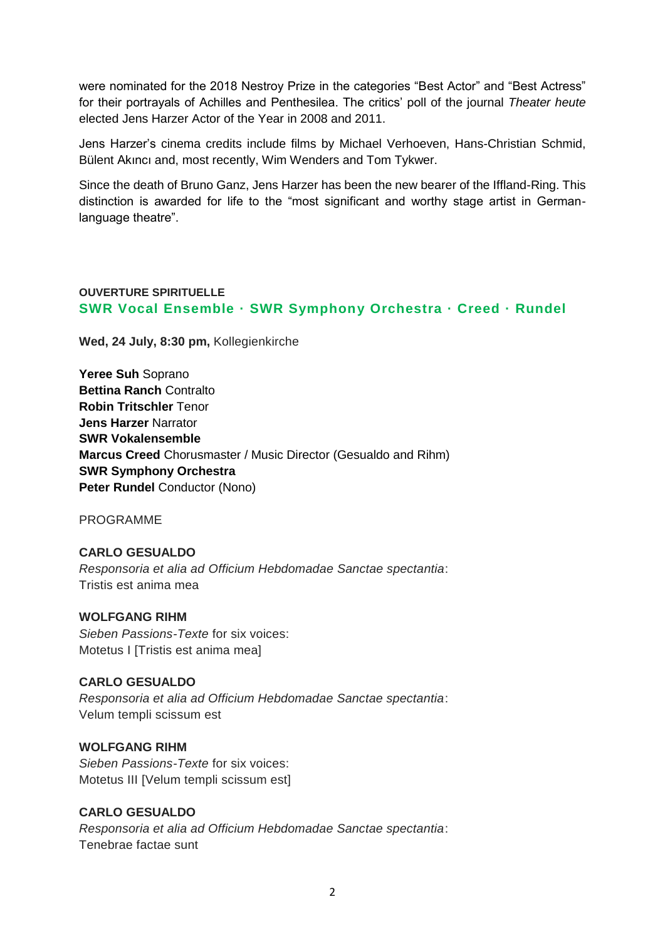were nominated for the 2018 Nestroy Prize in the categories "Best Actor" and "Best Actress" for their portrayals of Achilles and Penthesilea. The critics' poll of the journal *Theater heute*  elected Jens Harzer Actor of the Year in 2008 and 2011.

Jens Harzer's cinema credits include films by Michael Verhoeven, Hans-Christian Schmid, Bülent Akıncı and, most recently, Wim Wenders and Tom Tykwer.

Since the death of Bruno Ganz, Jens Harzer has been the new bearer of the Iffland-Ring. This distinction is awarded for life to the "most significant and worthy stage artist in Germanlanguage theatre".

## **OUVERTURE SPIRITUELLE SWR Vocal Ensemble · SWR Symphony Orchestra · Creed · Rundel**

**Wed, 24 July, 8:30 pm,** [Kollegienkirche](https://www.salzburgerfestspiele.at/l/kollegienkirche)

**[Yeree Suh](https://www.salzburgerfestspiele.at/a/yeree-suh)** Soprano **Bettina Ranch** Contralto **[Robin Tritschler](https://www.salzburgerfestspiele.at/a/robin-tritschler)** Tenor **Jens Harzer** Narrator **[SWR Vokalensemble](https://www.salzburgerfestspiele.at/a/swr-vokalensemble) Marcus Creed** Chorusmaster / Music Director [\(Gesualdo and Rihm\)](https://www.salzburgerfestspiele.at/a/marcus-creed)  **SWR Symphony Orchestra [Peter Rundel](https://www.salzburgerfestspiele.at/a/peter-rundel)** Conductor (Nono)

PROGRAMME

## **CARLO GESUALDO** *Responsoria et alia ad Officium Hebdomadae Sanctae spectantia*: Tristis est anima mea

#### **WOLFGANG RIHM**

*Sieben Passions-Texte* for six voices: Motetus I [Tristis est anima mea]

#### **CARLO GESUALDO**

*Responsoria et alia ad Officium Hebdomadae Sanctae spectantia*: Velum templi scissum est

## **WOLFGANG RIHM**

*Sieben Passions-Texte* for six voices: Motetus III [Velum templi scissum est]

## **CARLO GESUALDO**

*Responsoria et alia ad Officium Hebdomadae Sanctae spectantia*: Tenebrae factae sunt